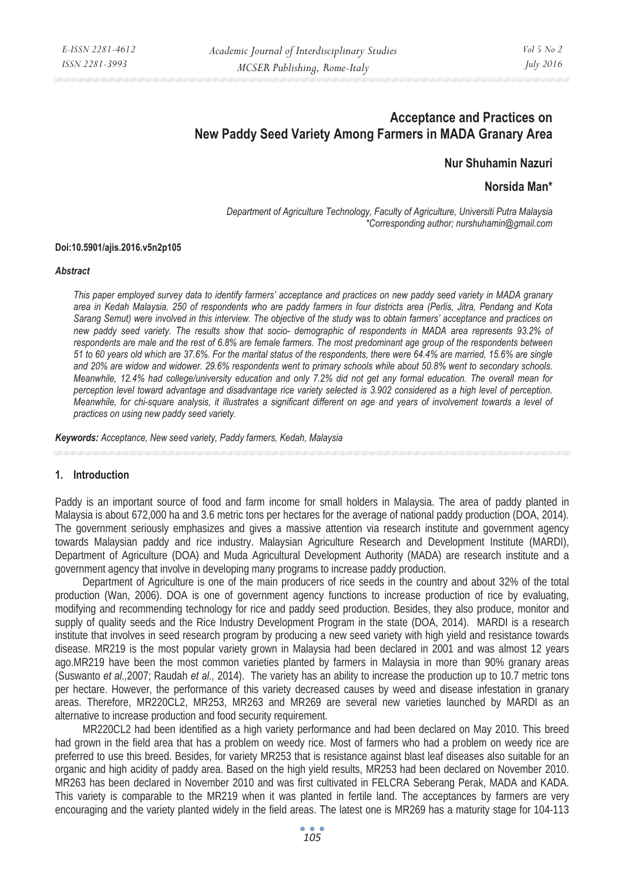# **Acceptance and Practices on New Paddy Seed Variety Among Farmers in MADA Granary Area**

**Nur Shuhamin Nazuri** 

**Norsida Man\*** 

*Department of Agriculture Technology, Faculty of Agriculture, Universiti Putra Malaysia \*Corresponding author; nurshuhamin@gmail.com* 

#### **Doi:10.5901/ajis.2016.v5n2p105**

#### *Abstract*

*This paper employed survey data to identify farmers' acceptance and practices on new paddy seed variety in MADA granary area in Kedah Malaysia. 250 of respondents who are paddy farmers in four districts area (Perlis, Jitra, Pendang and Kota Sarang Semut) were involved in this interview. The objective of the study was to obtain farmers' acceptance and practices on new paddy seed variety. The results show that socio- demographic of respondents in MADA area represents 93.2% of respondents are male and the rest of 6.8% are female farmers. The most predominant age group of the respondents between 51 to 60 years old which are 37.6%. For the marital status of the respondents, there were 64.4% are married, 15.6% are single and 20% are widow and widower. 29.6% respondents went to primary schools while about 50.8% went to secondary schools. Meanwhile, 12.4% had college/university education and only 7.2% did not get any formal education. The overall mean for perception level toward advantage and disadvantage rice variety selected is 3.902 considered as a high level of perception. Meanwhile, for chi-square analysis, it illustrates a significant different on age and years of involvement towards a level of practices on using new paddy seed variety.* 

*Keywords: Acceptance, New seed variety, Paddy farmers, Kedah, Malaysia*

#### **1. Introduction**

Paddy is an important source of food and farm income for small holders in Malaysia. The area of paddy planted in Malaysia is about 672,000 ha and 3.6 metric tons per hectares for the average of national paddy production (DOA, 2014). The government seriously emphasizes and gives a massive attention via research institute and government agency towards Malaysian paddy and rice industry. Malaysian Agriculture Research and Development Institute (MARDI), Department of Agriculture (DOA) and Muda Agricultural Development Authority (MADA) are research institute and a government agency that involve in developing many programs to increase paddy production.

Department of Agriculture is one of the main producers of rice seeds in the country and about 32% of the total production (Wan, 2006). DOA is one of government agency functions to increase production of rice by evaluating, modifying and recommending technology for rice and paddy seed production. Besides, they also produce, monitor and supply of quality seeds and the Rice Industry Development Program in the state (DOA, 2014). MARDI is a research institute that involves in seed research program by producing a new seed variety with high yield and resistance towards disease. MR219 is the most popular variety grown in Malaysia had been declared in 2001 and was almost 12 years ago.MR219 have been the most common varieties planted by farmers in Malaysia in more than 90% granary areas (Suswanto *et al.,*2007; Raudah *et al.,* 2014). The variety has an ability to increase the production up to 10.7 metric tons per hectare. However, the performance of this variety decreased causes by weed and disease infestation in granary areas. Therefore, MR220CL2, MR253, MR263 and MR269 are several new varieties launched by MARDI as an alternative to increase production and food security requirement.

MR220CL2 had been identified as a high variety performance and had been declared on May 2010. This breed had grown in the field area that has a problem on weedy rice. Most of farmers who had a problem on weedy rice are preferred to use this breed. Besides, for variety MR253 that is resistance against blast leaf diseases also suitable for an organic and high acidity of paddy area. Based on the high yield results, MR253 had been declared on November 2010. MR263 has been declared in November 2010 and was first cultivated in FELCRA Seberang Perak, MADA and KADA. This variety is comparable to the MR219 when it was planted in fertile land. The acceptances by farmers are very encouraging and the variety planted widely in the field areas. The latest one is MR269 has a maturity stage for 104-113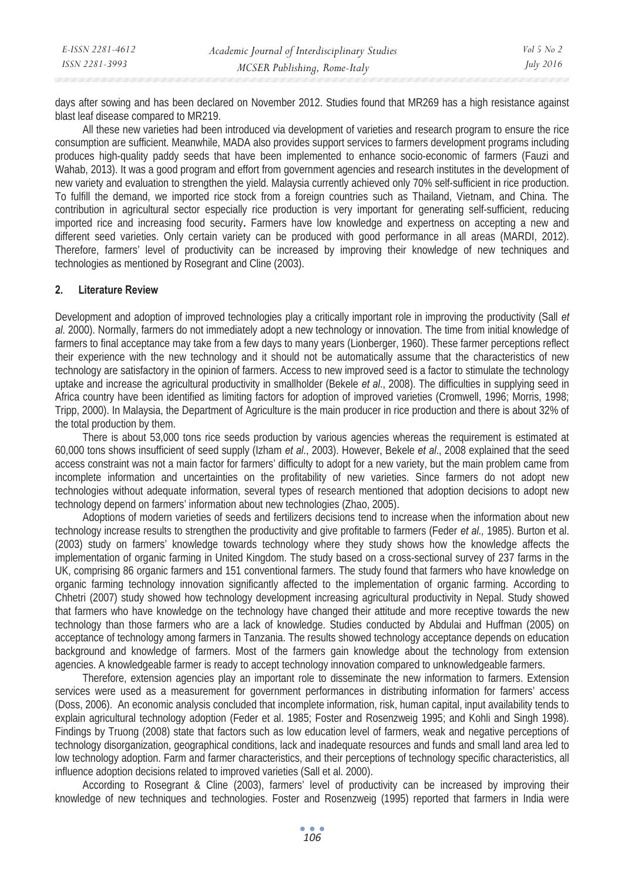| E-ISSN 2281-4612 | Academic Journal of Interdisciplinary Studies | Vol 5 No 2       |
|------------------|-----------------------------------------------|------------------|
| ISSN 2281-3993   | MCSER Publishing, Rome-Italy                  | <i>July 2016</i> |

days after sowing and has been declared on November 2012. Studies found that MR269 has a high resistance against blast leaf disease compared to MR219.

All these new varieties had been introduced via development of varieties and research program to ensure the rice consumption are sufficient. Meanwhile, MADA also provides support services to farmers development programs including produces high-quality paddy seeds that have been implemented to enhance socio-economic of farmers (Fauzi and Wahab, 2013). It was a good program and effort from government agencies and research institutes in the development of new variety and evaluation to strengthen the yield. Malaysia currently achieved only 70% self-sufficient in rice production. To fulfill the demand, we imported rice stock from a foreign countries such as Thailand, Vietnam, and China. The contribution in agricultural sector especially rice production is very important for generating self-sufficient, reducing imported rice and increasing food security**.** Farmers have low knowledge and expertness on accepting a new and different seed varieties. Only certain variety can be produced with good performance in all areas (MARDI, 2012). Therefore, farmers' level of productivity can be increased by improving their knowledge of new techniques and technologies as mentioned by Rosegrant and Cline (2003).

#### **2. Literature Review**

Development and adoption of improved technologies play a critically important role in improving the productivity (Sall *et al*. 2000). Normally, farmers do not immediately adopt a new technology or innovation. The time from initial knowledge of farmers to final acceptance may take from a few days to many years (Lionberger, 1960). These farmer perceptions reflect their experience with the new technology and it should not be automatically assume that the characteristics of new technology are satisfactory in the opinion of farmers. Access to new improved seed is a factor to stimulate the technology uptake and increase the agricultural productivity in smallholder (Bekele *et al*., 2008). The difficulties in supplying seed in Africa country have been identified as limiting factors for adoption of improved varieties (Cromwell, 1996; Morris, 1998; Tripp, 2000). In Malaysia, the Department of Agriculture is the main producer in rice production and there is about 32% of the total production by them.

There is about 53,000 tons rice seeds production by various agencies whereas the requirement is estimated at 60,000 tons shows insufficient of seed supply (Izham *et al*., 2003). However, Bekele *et al*., 2008 explained that the seed access constraint was not a main factor for farmers' difficulty to adopt for a new variety, but the main problem came from incomplete information and uncertainties on the profitability of new varieties. Since farmers do not adopt new technologies without adequate information, several types of research mentioned that adoption decisions to adopt new technology depend on farmers' information about new technologies (Zhao, 2005).

Adoptions of modern varieties of seeds and fertilizers decisions tend to increase when the information about new technology increase results to strengthen the productivity and give profitable to farmers (Feder *et al.,* 1985). Burton et al. (2003) study on farmers' knowledge towards technology where they study shows how the knowledge affects the implementation of organic farming in United Kingdom. The study based on a cross-sectional survey of 237 farms in the UK, comprising 86 organic farmers and 151 conventional farmers. The study found that farmers who have knowledge on organic farming technology innovation significantly affected to the implementation of organic farming. According to Chhetri (2007) study showed how technology development increasing agricultural productivity in Nepal. Study showed that farmers who have knowledge on the technology have changed their attitude and more receptive towards the new technology than those farmers who are a lack of knowledge. Studies conducted by Abdulai and Huffman (2005) on acceptance of technology among farmers in Tanzania. The results showed technology acceptance depends on education background and knowledge of farmers. Most of the farmers gain knowledge about the technology from extension agencies. A knowledgeable farmer is ready to accept technology innovation compared to unknowledgeable farmers.

Therefore, extension agencies play an important role to disseminate the new information to farmers. Extension services were used as a measurement for government performances in distributing information for farmers' access (Doss, 2006). An economic analysis concluded that incomplete information, risk, human capital, input availability tends to explain agricultural technology adoption (Feder et al. 1985; Foster and Rosenzweig 1995; and Kohli and Singh 1998). Findings by Truong (2008) state that factors such as low education level of farmers, weak and negative perceptions of technology disorganization, geographical conditions, lack and inadequate resources and funds and small land area led to low technology adoption. Farm and farmer characteristics, and their perceptions of technology specific characteristics, all influence adoption decisions related to improved varieties (Sall et al. 2000).

According to Rosegrant & Cline (2003), farmers' level of productivity can be increased by improving their knowledge of new techniques and technologies. Foster and Rosenzweig (1995) reported that farmers in India were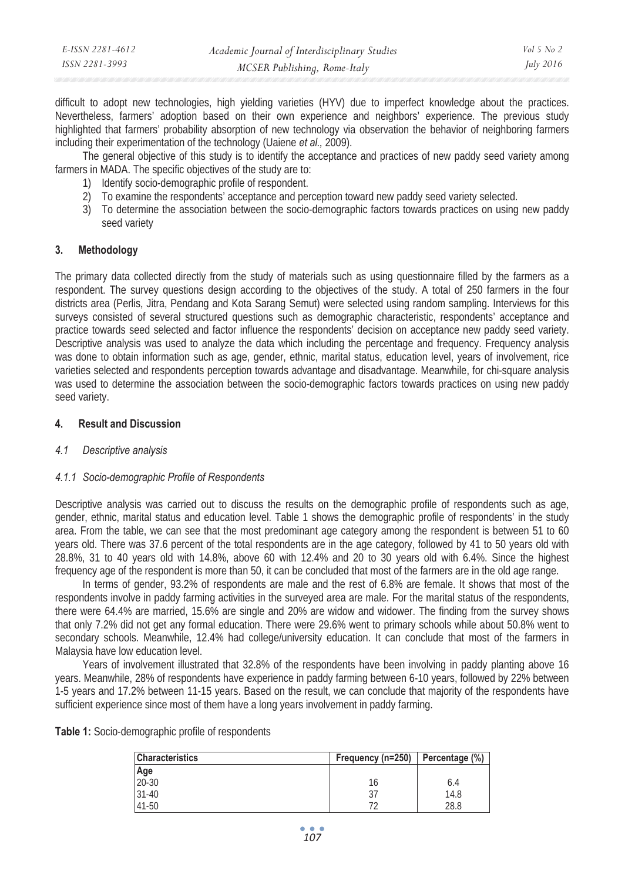| E-ISSN 2281-4612 | Academic Journal of Interdisciplinary Studies | Vol 5 No 2       |
|------------------|-----------------------------------------------|------------------|
| ISSN 2281-3993   | MCSER Publishing, Rome-Italy                  | <i>July 2016</i> |

difficult to adopt new technologies, high yielding varieties (HYV) due to imperfect knowledge about the practices. Nevertheless, farmers' adoption based on their own experience and neighbors' experience. The previous study highlighted that farmers' probability absorption of new technology via observation the behavior of neighboring farmers including their experimentation of the technology (Uaiene *et al.,* 2009).

The general objective of this study is to identify the acceptance and practices of new paddy seed variety among farmers in MADA. The specific objectives of the study are to:

- 1) Identify socio-demographic profile of respondent.
- 2) To examine the respondents' acceptance and perception toward new paddy seed variety selected.
- 3) To determine the association between the socio-demographic factors towards practices on using new paddy seed variety

#### **3. Methodology**

The primary data collected directly from the study of materials such as using questionnaire filled by the farmers as a respondent. The survey questions design according to the objectives of the study. A total of 250 farmers in the four districts area (Perlis, Jitra, Pendang and Kota Sarang Semut) were selected using random sampling. Interviews for this surveys consisted of several structured questions such as demographic characteristic, respondents' acceptance and practice towards seed selected and factor influence the respondents' decision on acceptance new paddy seed variety. Descriptive analysis was used to analyze the data which including the percentage and frequency. Frequency analysis was done to obtain information such as age, gender, ethnic, marital status, education level, years of involvement, rice varieties selected and respondents perception towards advantage and disadvantage. Meanwhile, for chi-square analysis was used to determine the association between the socio-demographic factors towards practices on using new paddy seed variety.

#### **4. Result and Discussion**

#### *4.1 Descriptive analysis*

#### *4.1.1 Socio-demographic Profile of Respondents*

Descriptive analysis was carried out to discuss the results on the demographic profile of respondents such as age, gender, ethnic, marital status and education level. Table 1 shows the demographic profile of respondents' in the study area. From the table, we can see that the most predominant age category among the respondent is between 51 to 60 years old. There was 37.6 percent of the total respondents are in the age category, followed by 41 to 50 years old with 28.8%, 31 to 40 years old with 14.8%, above 60 with 12.4% and 20 to 30 years old with 6.4%. Since the highest frequency age of the respondent is more than 50, it can be concluded that most of the farmers are in the old age range.

In terms of gender, 93.2% of respondents are male and the rest of 6.8% are female. It shows that most of the respondents involve in paddy farming activities in the surveyed area are male. For the marital status of the respondents, there were 64.4% are married, 15.6% are single and 20% are widow and widower. The finding from the survey shows that only 7.2% did not get any formal education. There were 29.6% went to primary schools while about 50.8% went to secondary schools. Meanwhile, 12.4% had college/university education. It can conclude that most of the farmers in Malaysia have low education level.

Years of involvement illustrated that 32.8% of the respondents have been involving in paddy planting above 16 years. Meanwhile, 28% of respondents have experience in paddy farming between 6-10 years, followed by 22% between 1-5 years and 17.2% between 11-15 years. Based on the result, we can conclude that majority of the respondents have sufficient experience since most of them have a long years involvement in paddy farming.

| <b>Characteristics</b> | Frequency (n=250) | Percentage (%) |  |  |
|------------------------|-------------------|----------------|--|--|
| Age                    |                   |                |  |  |
| 20-30                  | 16                | 6.4            |  |  |
| $31 - 40$              | 37                | 14.8           |  |  |
| 41-50                  |                   | 28.8           |  |  |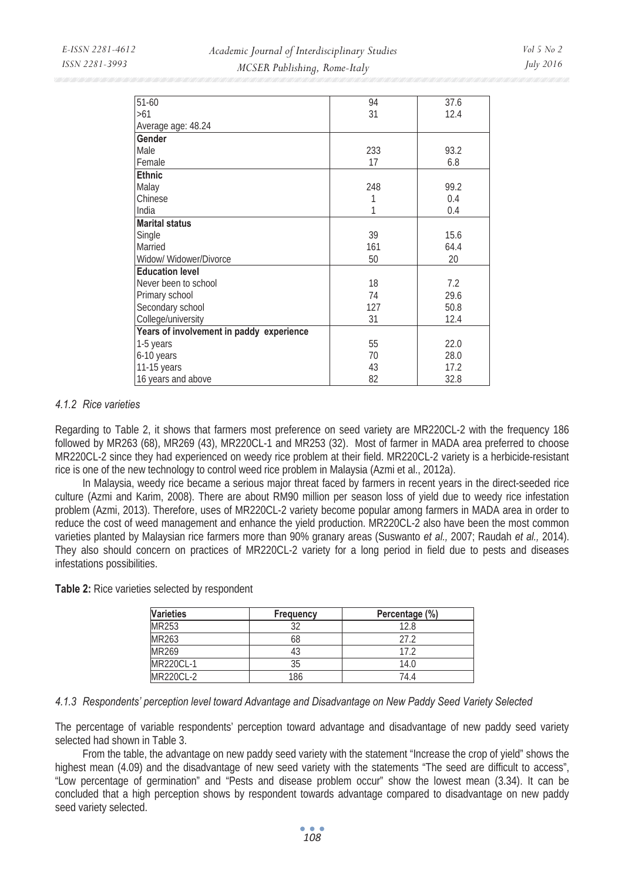| $51 - 60$                                | 94  | 37.6 |
|------------------------------------------|-----|------|
| >61                                      | 31  | 12.4 |
| Average age: 48.24                       |     |      |
| Gender                                   |     |      |
| Male                                     | 233 | 93.2 |
| Female                                   | 17  | 6.8  |
| <b>Ethnic</b>                            |     |      |
| Malay                                    | 248 | 99.2 |
| Chinese                                  |     | 0.4  |
| India                                    | 1   | 0.4  |
| <b>Marital status</b>                    |     |      |
| Single                                   | 39  | 15.6 |
| Married                                  | 161 | 64.4 |
| Widow/ Widower/Divorce                   | 50  | 20   |
| <b>Education level</b>                   |     |      |
| Never been to school                     | 18  | 7.2  |
| Primary school                           | 74  | 29.6 |
| Secondary school                         | 127 | 50.8 |
| College/university                       | 31  | 12.4 |
| Years of involvement in paddy experience |     |      |
| 1-5 years                                | 55  | 22.0 |
| 6-10 years                               | 70  | 28.0 |
| 11-15 years                              | 43  | 17.2 |
| 16 years and above                       | 82  | 32.8 |

## *4.1.2 Rice varieties*

Regarding to Table 2, it shows that farmers most preference on seed variety are MR220CL-2 with the frequency 186 followed by MR263 (68), MR269 (43), MR220CL-1 and MR253 (32). Most of farmer in MADA area preferred to choose MR220CL-2 since they had experienced on weedy rice problem at their field. MR220CL-2 variety is a herbicide-resistant rice is one of the new technology to control weed rice problem in Malaysia (Azmi et al., 2012a).

In Malaysia, weedy rice became a serious major threat faced by farmers in recent years in the direct-seeded rice culture (Azmi and Karim, 2008). There are about RM90 million per season loss of yield due to weedy rice infestation problem (Azmi, 2013). Therefore, uses of MR220CL-2 variety become popular among farmers in MADA area in order to reduce the cost of weed management and enhance the yield production. MR220CL-2 also have been the most common varieties planted by Malaysian rice farmers more than 90% granary areas (Suswanto *et al.,* 2007; Raudah *et al.,* 2014). They also should concern on practices of MR220CL-2 variety for a long period in field due to pests and diseases infestations possibilities.

**Table 2:** Rice varieties selected by respondent

| <b>Varieties</b> | Frequency | Percentage (%) |
|------------------|-----------|----------------|
| MR253            |           | 12.8           |
| MR263            | 68        | 27 2           |
| MR269            | 43        | 17 2           |
| MR220CL-1        | 35        | 14.0           |
| <b>MR220CL-2</b> | 186       | 744            |

#### *4.1.3 Respondents' perception level toward Advantage and Disadvantage on New Paddy Seed Variety Selected*

The percentage of variable respondents' perception toward advantage and disadvantage of new paddy seed variety selected had shown in Table 3.

From the table, the advantage on new paddy seed variety with the statement "Increase the crop of yield" shows the highest mean (4.09) and the disadvantage of new seed variety with the statements "The seed are difficult to access", "Low percentage of germination" and "Pests and disease problem occur" show the lowest mean (3.34). It can be concluded that a high perception shows by respondent towards advantage compared to disadvantage on new paddy seed variety selected.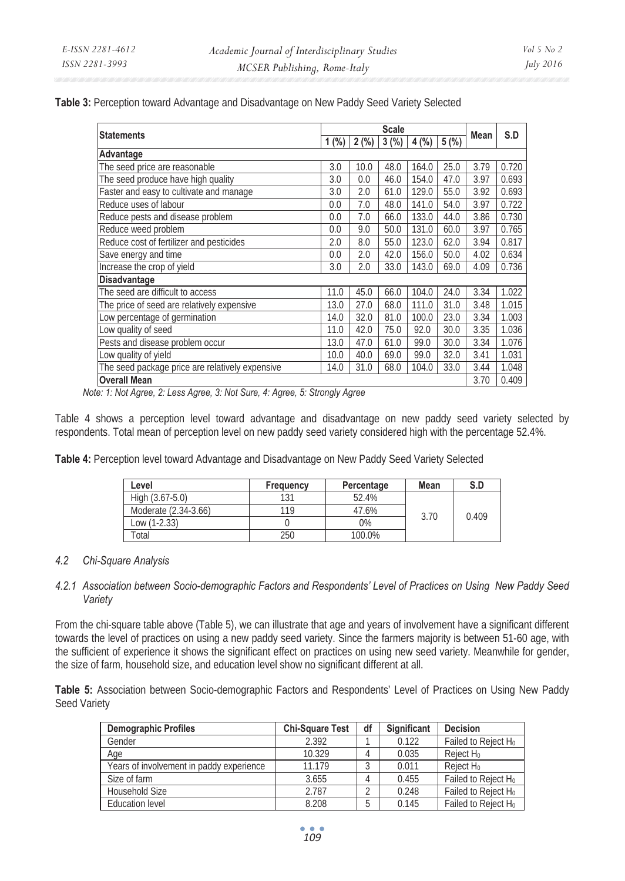**Table 3:** Perception toward Advantage and Disadvantage on New Paddy Seed Variety Selected

| <b>Statements</b>                               |      | <b>Scale</b>    |      |               |      | Mean | S.D   |
|-------------------------------------------------|------|-----------------|------|---------------|------|------|-------|
|                                                 |      | $1$ (%) $2$ (%) |      | $3(%)\, 4(%)$ | 5(%) |      |       |
| Advantage                                       |      |                 |      |               |      |      |       |
| The seed price are reasonable                   | 3.0  | 10.0            | 48.0 | 164.0         | 25.0 | 3.79 | 0.720 |
| The seed produce have high quality              | 3.0  | 0.0             | 46.0 | 154.0         | 47.0 | 3.97 | 0.693 |
| Faster and easy to cultivate and manage         | 3.0  | 2.0             | 61.0 | 129.0         | 55.0 | 3.92 | 0.693 |
| Reduce uses of labour                           | 0.0  | 7.0             | 48.0 | 141.0         | 54.0 | 3.97 | 0.722 |
| Reduce pests and disease problem                | 0.0  | 7.0             | 66.0 | 133.0         | 44.0 | 3.86 | 0.730 |
| Reduce weed problem                             | 0.0  | 9.0             | 50.0 | 131.0         | 60.0 | 3.97 | 0.765 |
| Reduce cost of fertilizer and pesticides        | 2.0  | 8.0             | 55.0 | 123.0         | 62.0 | 3.94 | 0.817 |
| Save energy and time                            | 0.0  | 2.0             | 42.0 | 156.0         | 50.0 | 4.02 | 0.634 |
| Increase the crop of yield                      | 3.0  | 2.0             | 33.0 | 143.0         | 69.0 | 4.09 | 0.736 |
| Disadvantage                                    |      |                 |      |               |      |      |       |
| The seed are difficult to access                | 11.0 | 45.0            | 66.0 | 104.0         | 24.0 | 3.34 | 1.022 |
| The price of seed are relatively expensive      | 13.0 | 27.0            | 68.0 | 111.0         | 31.0 | 3.48 | 1.015 |
| Low percentage of germination                   | 14.0 | 32.0            | 81.0 | 100.0         | 23.0 | 3.34 | 1.003 |
| Low quality of seed                             | 11.0 | 42.0            | 75.0 | 92.0          | 30.0 | 3.35 | 1.036 |
| Pests and disease problem occur                 | 13.0 | 47.0            | 61.0 | 99.0          | 30.0 | 3.34 | 1.076 |
| Low quality of yield                            | 10.0 | 40.0            | 69.0 | 99.0          | 32.0 | 3.41 | 1.031 |
| The seed package price are relatively expensive | 14.0 | 31.0            | 68.0 | 104.0         | 33.0 | 3.44 | 1.048 |
| <b>Overall Mean</b>                             |      |                 | 3.70 | 0.409         |      |      |       |

*Note: 1: Not Agree, 2: Less Agree, 3: Not Sure, 4: Agree, 5: Strongly Agree* 

Table 4 shows a perception level toward advantage and disadvantage on new paddy seed variety selected by respondents. Total mean of perception level on new paddy seed variety considered high with the percentage 52.4%.

**Table 4:** Perception level toward Advantage and Disadvantage on New Paddy Seed Variety Selected

| Level                | Frequency | Percentage | Mean | S.D   |
|----------------------|-----------|------------|------|-------|
| High $(3.67-5.0)$    | 131       | 52.4%      |      |       |
| Moderate (2.34-3.66) | 119       | 47.6%      | 3.70 | 0.409 |
| Low (1-2.33)         |           | $0\%$      |      |       |
| Total                | 250       | 100.0%     |      |       |

#### *4.2 Chi-Square Analysis*

## *4.2.1 Association between Socio-demographic Factors and Respondents' Level of Practices on Using New Paddy Seed Variety*

From the chi-square table above (Table 5), we can illustrate that age and years of involvement have a significant different towards the level of practices on using a new paddy seed variety. Since the farmers majority is between 51-60 age, with the sufficient of experience it shows the significant effect on practices on using new seed variety. Meanwhile for gender, the size of farm, household size, and education level show no significant different at all.

**Table 5:** Association between Socio-demographic Factors and Respondents' Level of Practices on Using New Paddy Seed Variety

| <b>Demographic Profiles</b>              | <b>Chi-Square Test</b> | df | Significant | <b>Decision</b>                 |
|------------------------------------------|------------------------|----|-------------|---------------------------------|
| Gender                                   | 2.392                  |    | 0.122       | Failed to Reject H <sub>0</sub> |
| Age                                      | 10.329                 |    | 0.035       | Reject H <sub>0</sub>           |
| Years of involvement in paddy experience | 11.179                 |    | 0.011       | Reject H <sub>0</sub>           |
| Size of farm                             | 3.655                  |    | 0.455       | Failed to Reject H <sub>0</sub> |
| Household Size                           | 2.787                  |    | 0.248       | Failed to Reject H <sub>0</sub> |
| Education level                          | 8.208                  |    | 0.145       | Failed to Reject H <sub>0</sub> |